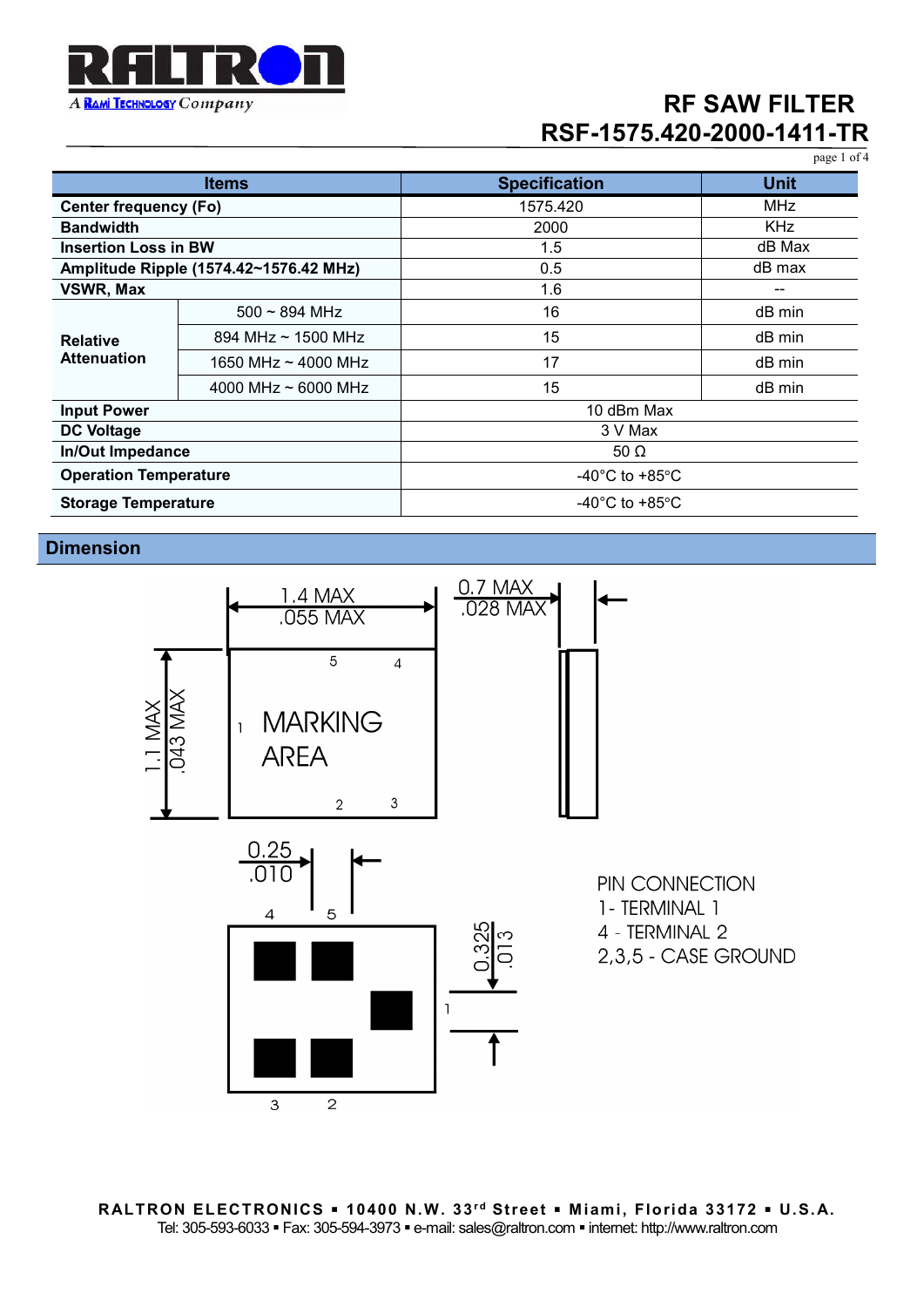

page 1 of 4

| <b>Items</b>                           |                          | <b>Specification</b>                 | <b>Unit</b> |
|----------------------------------------|--------------------------|--------------------------------------|-------------|
| <b>Center frequency (Fo)</b>           |                          | 1575.420                             | <b>MHz</b>  |
| <b>Bandwidth</b>                       |                          | 2000                                 | <b>KHz</b>  |
| <b>Insertion Loss in BW</b>            |                          | 1.5                                  | dB Max      |
| Amplitude Ripple (1574.42~1576.42 MHz) |                          | 0.5                                  | dB max      |
| VSWR, Max                              |                          | 1.6                                  | --          |
| <b>Relative</b><br><b>Attenuation</b>  | $500 \sim 894$ MHz       | 16                                   | dB min      |
|                                        | 894 MHz $\sim$ 1500 MHz  | 15                                   | dB min      |
|                                        | 1650 MHz $\sim$ 4000 MHz | 17                                   | dB min      |
|                                        | 4000 MHz $\sim$ 6000 MHz | 15                                   | dB min      |
| <b>Input Power</b>                     |                          | 10 dBm Max                           |             |
| <b>DC Voltage</b>                      |                          | 3 V Max                              |             |
| <b>In/Out Impedance</b>                |                          | 50 $\Omega$                          |             |
| <b>Operation Temperature</b>           |                          | $-40^{\circ}$ C to $+85^{\circ}$ C   |             |
| <b>Storage Temperature</b>             |                          | -40 $^{\circ}$ C to +85 $^{\circ}$ C |             |

**Dimension**



**RALTRON ELECTRONICS 10400 N.W. 33r d Street M iami, Florida 33172 U.S. A.** Tel: 305-593-6033 · Fax: 305-594-3973 · e-mail: sales@raltron.com · internet: http://www.raltron.com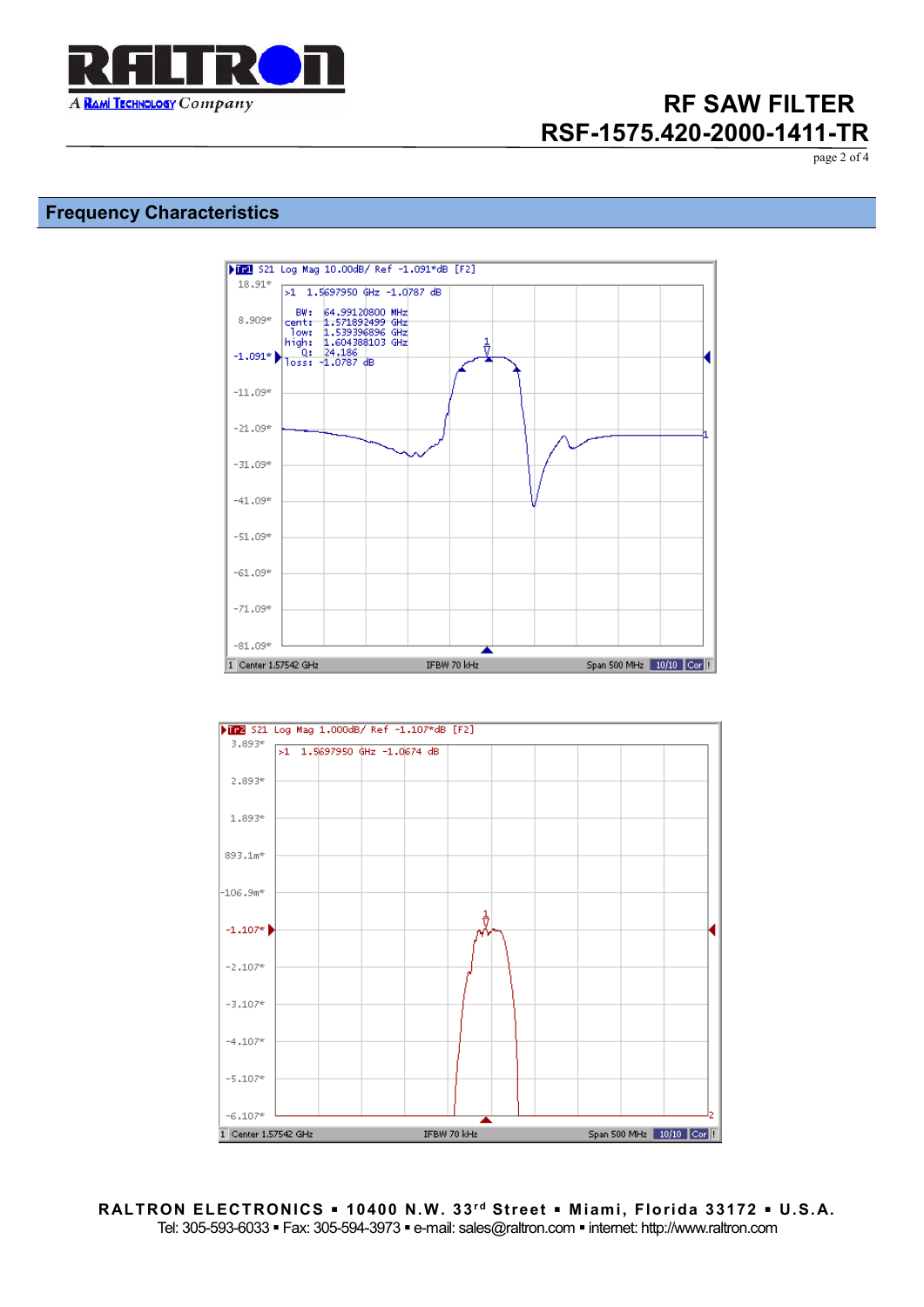

page 2 of 4

### **Frequency Characteristics**



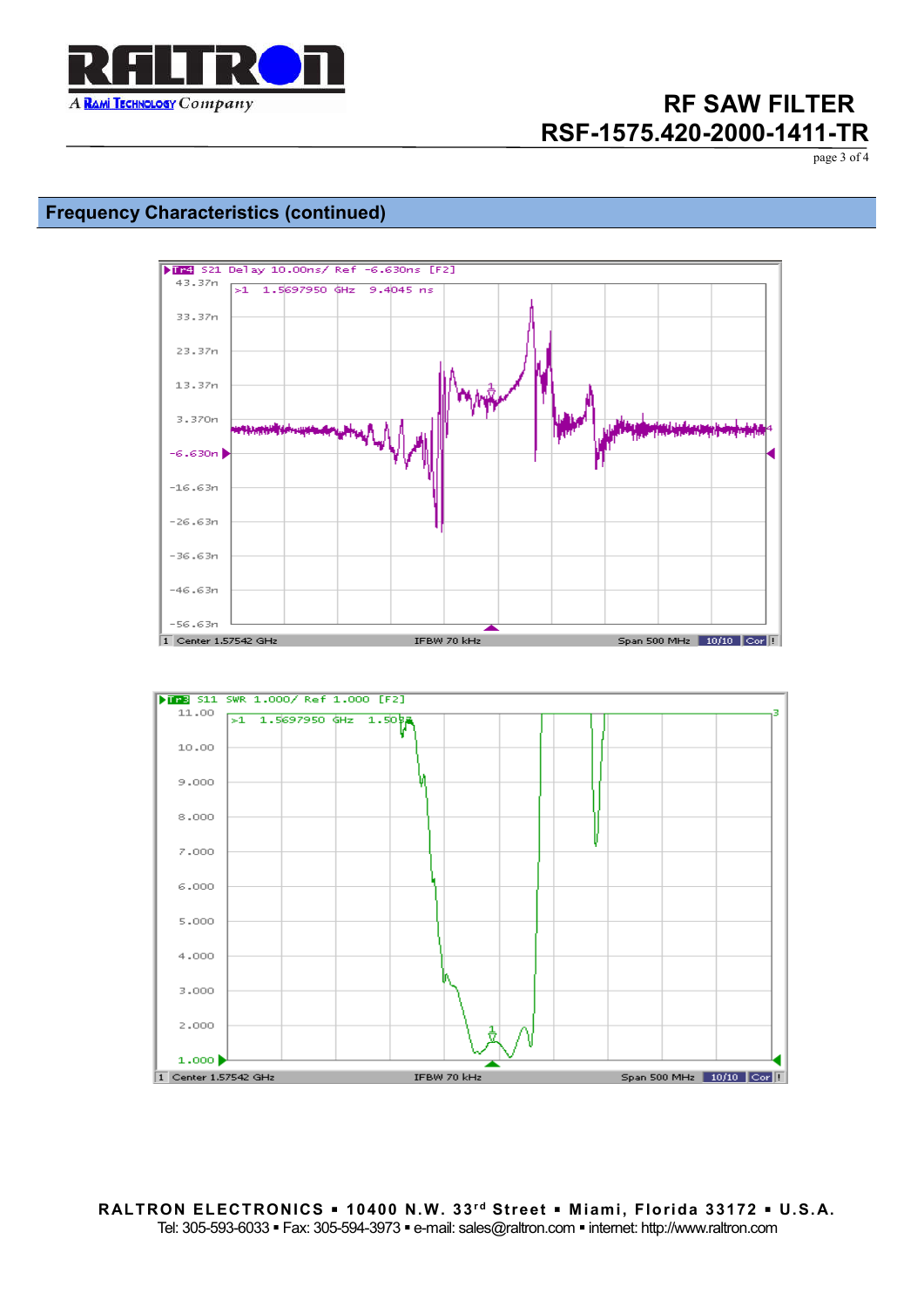

page 3 of 4

### **Frequency Characteristics (continued)**

4,000

3,000

2,000